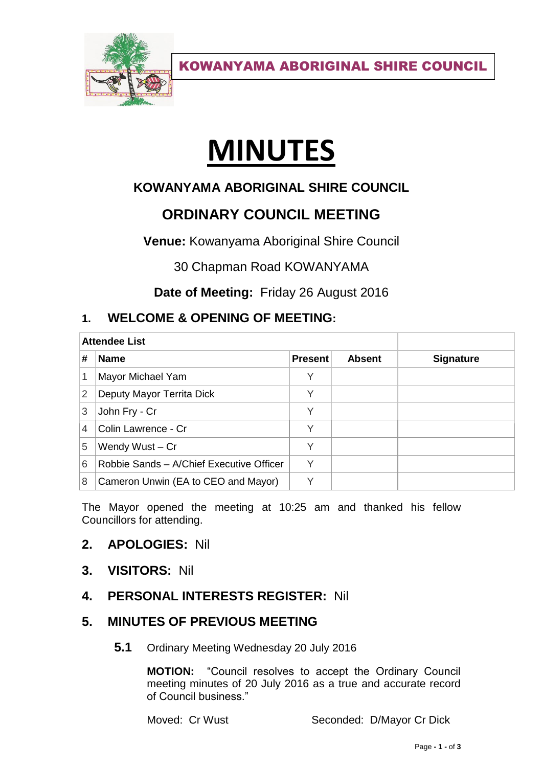

KOWANYAMA ABORIGINAL SHIRE COUNCIL

# **MINUTES**

# **KOWANYAMA ABORIGINAL SHIRE COUNCIL**

# **ORDINARY COUNCIL MEETING**

**Venue:** Kowanyama Aboriginal Shire Council

30 Chapman Road KOWANYAMA

**Date of Meeting:** Friday 26 August 2016

## **1. WELCOME & OPENING OF MEETING:**

| <b>Attendee List</b> |                                          |                |               |                  |
|----------------------|------------------------------------------|----------------|---------------|------------------|
| #                    | <b>Name</b>                              | <b>Present</b> | <b>Absent</b> | <b>Signature</b> |
| 1                    | Mayor Michael Yam                        | Υ              |               |                  |
| 2                    | Deputy Mayor Territa Dick                | V              |               |                  |
| 3                    | John Fry - Cr                            | Υ              |               |                  |
| 4                    | Colin Lawrence - Cr                      | Υ              |               |                  |
| 5                    | Wendy Wust - Cr                          | V              |               |                  |
| 6                    | Robbie Sands - A/Chief Executive Officer | $\checkmark$   |               |                  |
| 8                    | Cameron Unwin (EA to CEO and Mayor)      | $\checkmark$   |               |                  |

The Mayor opened the meeting at 10:25 am and thanked his fellow Councillors for attending.

## **2. APOLOGIES:** Nil

**3. VISITORS:** Nil

## **4. PERSONAL INTERESTS REGISTER:** Nil

## **5. MINUTES OF PREVIOUS MEETING**

**5.1** Ordinary Meeting Wednesday 20 July 2016

**MOTION:** "Council resolves to accept the Ordinary Council meeting minutes of 20 July 2016 as a true and accurate record of Council business."

Moved: Cr Wust Seconded: D/Mayor Cr Dick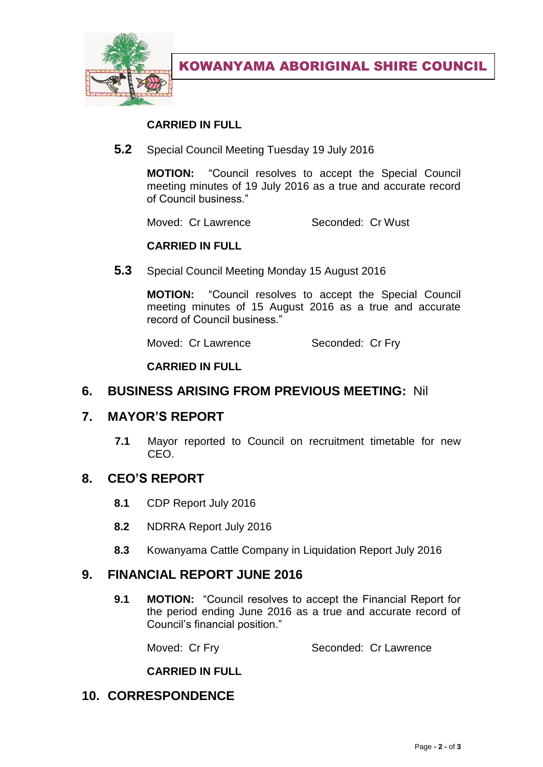

KOWANYAMA ABORIGINAL SHIRE COUNCIL

#### **CARRIED IN FULL**

**5.2** Special Council Meeting Tuesday 19 July 2016

**MOTION:** "Council resolves to accept the Special Council meeting minutes of 19 July 2016 as a true and accurate record of Council business."

Moved: Cr Lawrence Seconded: Cr Wust

#### **CARRIED IN FULL**

**5.3** Special Council Meeting Monday 15 August 2016

**MOTION:** "Council resolves to accept the Special Council meeting minutes of 15 August 2016 as a true and accurate record of Council business."

Moved: Cr Lawrence Seconded: Cr Fry

**CARRIED IN FULL**

#### **6. BUSINESS ARISING FROM PREVIOUS MEETING:** Nil

#### **7. MAYOR'S REPORT**

**7.1** Mayor reported to Council on recruitment timetable for new CEO.

#### **8. CEO'S REPORT**

- **8.1** CDP Report July 2016
- **8.2** NDRRA Report July 2016
- **8.3** Kowanyama Cattle Company in Liquidation Report July 2016

#### **9. FINANCIAL REPORT JUNE 2016**

**9.1 MOTION:** "Council resolves to accept the Financial Report for the period ending June 2016 as a true and accurate record of Council's financial position."

Moved: Cr Fry Seconded: Cr Lawrence

#### **CARRIED IN FULL**

#### **10. CORRESPONDENCE**